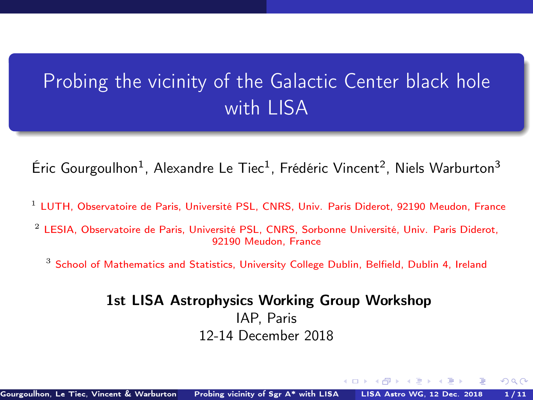# <span id="page-0-1"></span><span id="page-0-0"></span>Probing the vicinity of the Galactic Center black hole with LISA

Éric Gourgoulhon<sup>1</sup>, Alexandre Le Tiec<sup>1</sup>, Frédéric Vincent<sup>2</sup>, Niels Warburton<sup>3</sup>

- <sup>1</sup> [LUTH, Observatoire de Paris, Université PSL, CNRS, Univ. Paris Diderot, 92190 Meudon, France](https://luth.obspm.fr)
- <sup>2</sup> [LESIA, Observatoire de Paris, Université PSL, CNRS, Sorbonne Université, Univ. Paris Diderot,](https://lesia.obspm.fr) [92190 Meudon, France](https://lesia.obspm.fr)
	- $3$  [School of Mathematics and Statistics, University College Dublin, Belfield, Dublin 4, Ireland](http://www.ucd.ie/)

### 1st LISA Astrophysics Working Group Workshop IAP, Paris 12-14 December 2018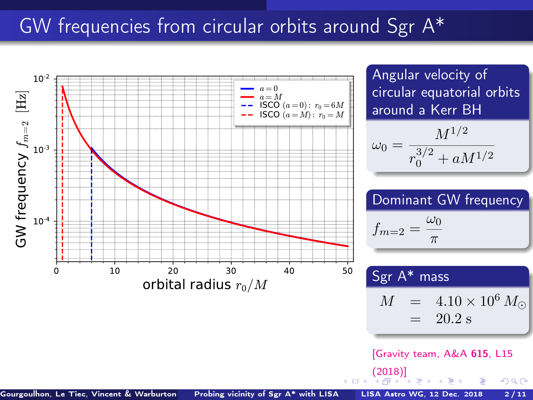### <span id="page-1-0"></span>GW frequencies from circular orbits around Sgr A\*

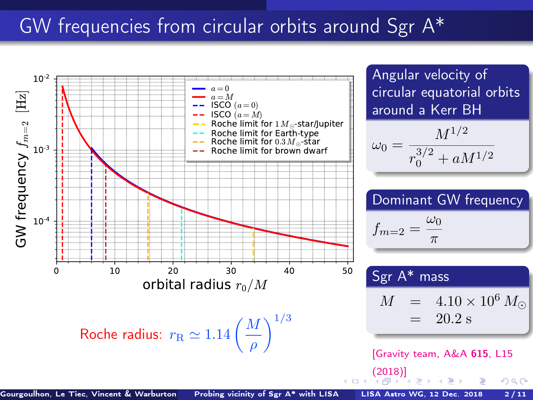### <span id="page-2-0"></span>GW frequencies from circular orbits around Sgr A\*

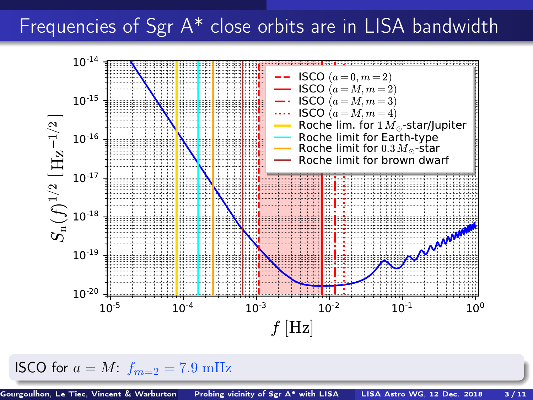### <span id="page-3-0"></span>Frequencies of Sgr A\* close orbits are in LISA bandwidth



ISCO for  $a = M: f_{m=2} = 7.9 \text{ mHz}$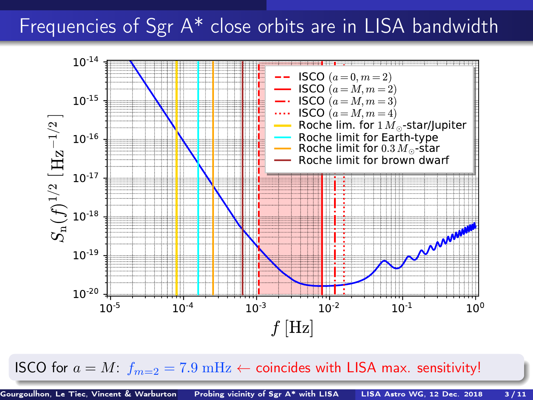## <span id="page-4-0"></span>Frequencies of Sgr A\* close orbits are in LISA bandwidth



ISCO for  $a = M$  $a = M$ :  $f_{m=2} = 7.9 \text{ mHz} \leftarrow$  $f_{m=2} = 7.9 \text{ mHz} \leftarrow$  $f_{m=2} = 7.9 \text{ mHz} \leftarrow$  coincides wit[h L](#page-3-0)I[SA](#page-5-0) ma[x.](#page-0-0) [sen](#page-22-0)[sit](#page-0-0)[ivi](#page-22-0)[ty!](#page-0-0)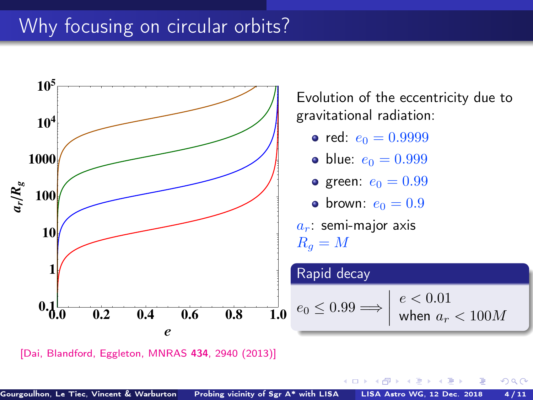# <span id="page-5-0"></span>Why focusing on circular orbits?



[\[Dai, Blandford, Eggleton, MNRAS](https://doi.org/10.1093/mnras/stt1208) 434, 2940 (2013)]

4 0 F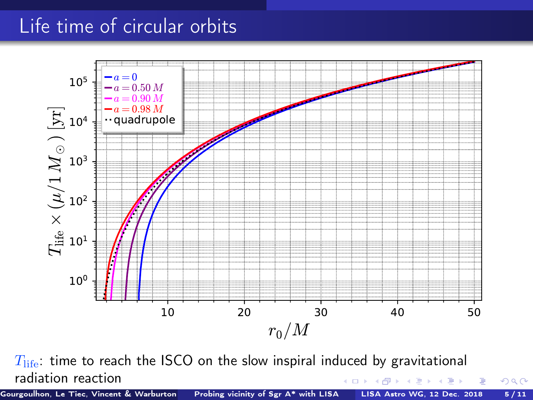## Life time of circular orbits



 $T_{\text{life}}$ : time to reach the ISCO on the slow inspiral induced by gravitational radiation reaction 4. 0. 3. 4.

Gourgoulhon, Le Tiec, Vincent & Warburton [Probing vicinity of Sgr A\\* with LISA](#page-0-0) LISA Astro WG, 12 Dec. 2018 5/11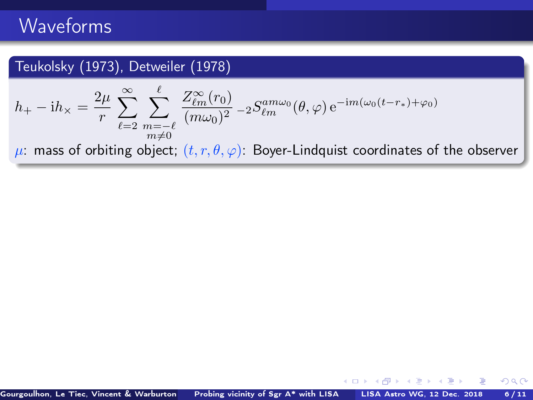### <span id="page-7-0"></span>Teukolsky (1973), Detweiler (1978)

$$
h_{+} - \mathrm{i}h_{\times} = \frac{2\mu}{r} \sum_{\ell=2}^{\infty} \sum_{\substack{m=-\ell \\ m \neq 0}}^{\ell} \frac{Z_{\ell m}^{\infty}(r_0)}{(m\omega_0)^2} - 2S_{\ell m}^{am\omega_0}(\theta, \varphi) e^{-\mathrm{i}m(\omega_0(t-r_*)+\varphi_0)}
$$

 $\mu$ : mass of orbiting object;  $(t, r, \theta, \varphi)$ : Boyer-Lindquist coordinates of the observer

4.000.4

AD > ( E > ( E >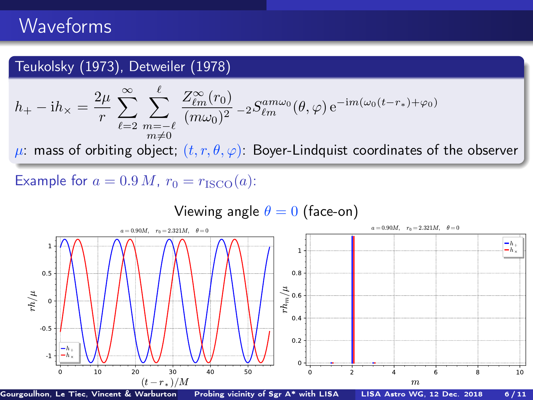### <span id="page-8-0"></span>Teukolsky (1973), Detweiler (1978)

$$
h_+ - \mathrm{i}h_\times = \frac{2\mu}{r} \sum_{\ell=2}^{\infty} \sum_{\substack{m=-\ell \\ m\neq 0}}^{\ell} \frac{Z_{\ell m}^{\infty}(r_0)}{(m\omega_0)^2} - 2S_{\ell m}^{am\omega_0}(\theta, \varphi) e^{-\mathrm{i}m(\omega_0(t-r_*)+\varphi_0)}
$$

 $\mu$ : mass of orbiting object;  $(t, r, \theta, \varphi)$ : Boyer-Lindquist coordinates of the observer

Example for  $a = 0.9 M$ ,  $r_0 = r_{\text{ISCO}}(a)$ :

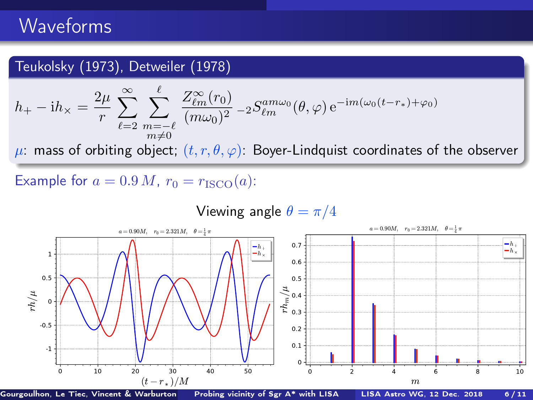### Teukolsky (1973), Detweiler (1978)

$$
h_+ - \mathrm{i}h_\times = \frac{2\mu}{r} \sum_{\ell=2}^{\infty} \sum_{\substack{m=-\ell \\ m\neq 0}}^{\ell} \frac{Z_{\ell m}^{\infty}(r_0)}{(m\omega_0)^2} - 2S_{\ell m}^{am\omega_0}(\theta, \varphi) e^{-\mathrm{i}m(\omega_0(t-r_*)+\varphi_0)}
$$

 $\mu$ : mass of orbiting object;  $(t, r, \theta, \varphi)$ : Boyer-Lindquist coordinates of the observer

Example for  $a = 0.9 M$ ,  $r_0 = r_{\text{ISCO}}(a)$ :

#### 0 10 20 30 40 50  $(t - r_\ast)/M$ <br>/arburton Probing vicinity of Sgr A\* with LISA -1 -0.5 0 † 0.5 1  $r/h/\mu$  $a = 0.90M$ ,  $r_0 = 2.321M$ ,  $\theta = \frac{1}{4}\pi$  $-h$  $h_{\times}$ 0 [2](#page-8-0) [4](#page-10-0) [6](#page-0-0) [8](#page-0-0) 10 [m](#page-0-0)  $\Omega$ 0.1 0.2 0.3 0.4 0.5 0.6 0.7  $\sum_{k=0.3}^{\infty}$  0.4  $a = 0.90M$ ,  $r_0 = 2.321M$ ,  $\theta = \frac{1}{4}\pi$  $\frac{h_+}{h_{\times}}$

Viewing angle  $\theta = \pi/4$ 

Gourgoulhon, Le Tiec, Vincent & Warburton [Probing vicinity of Sgr A\\* with LISA](#page-0-0) LISA Astro WG, 12 Dec. 2018 6/11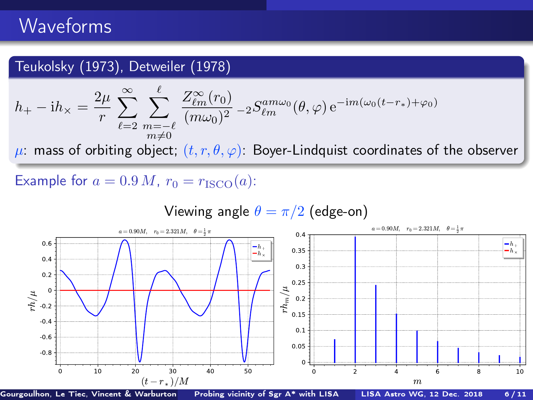### <span id="page-10-0"></span>Teukolsky (1973), Detweiler (1978)

$$
h_+ - \mathrm{i}h_\times = \frac{2\mu}{r} \sum_{\ell=2}^{\infty} \sum_{\substack{m=-\ell \\ m\neq 0}}^{\ell} \frac{Z_{\ell m}^{\infty}(r_0)}{(m\omega_0)^2} - 2S_{\ell m}^{am\omega_0}(\theta, \varphi) e^{-\mathrm{i}m(\omega_0(t-r_*)+\varphi_0)}
$$

 $\mu$ : mass of orbiting object;  $(t, r, \theta, \varphi)$ : Boyer-Lindquist coordinates of the observer

Example for  $a = 0.9 M$ ,  $r_0 = r_{\text{ISCO}}(a)$ :

Viewing angle  $\theta = \pi/2$  (edge-on)



Gourgoulhon, Le Tiec, Vincent & Warburton [Probing vicinity of Sgr A\\* with LISA](#page-0-0) LISA Astro WG, 12 Dec. 2018 6/11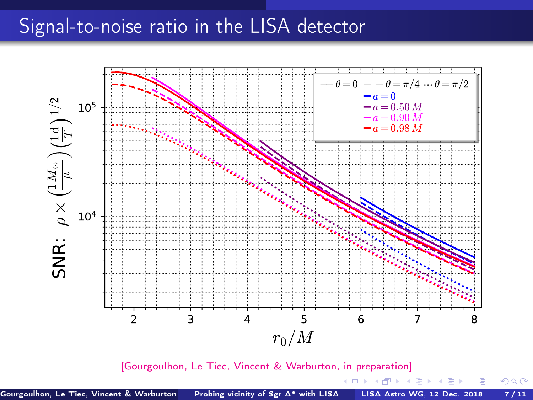<span id="page-11-0"></span>

[\[Gourgoulhon, Le Tiec, Vincent & Warburton, in preparation\]](#page-0-1)

 $299$ 

メロト メ御 トメ 君 トメ 君 トー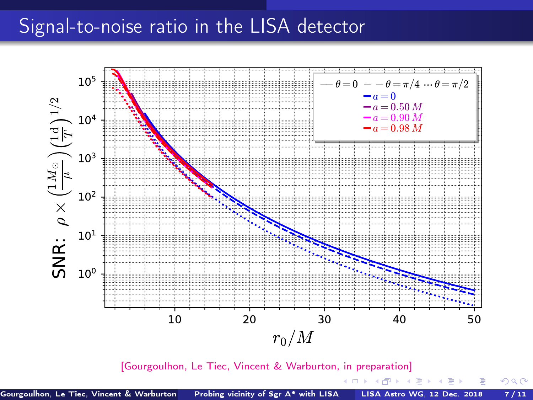

[\[Gourgoulhon, Le Tiec, Vincent & Warburton, in preparation\]](#page-0-1)

4. 0. 3. 4.

AD > ( E > ( E >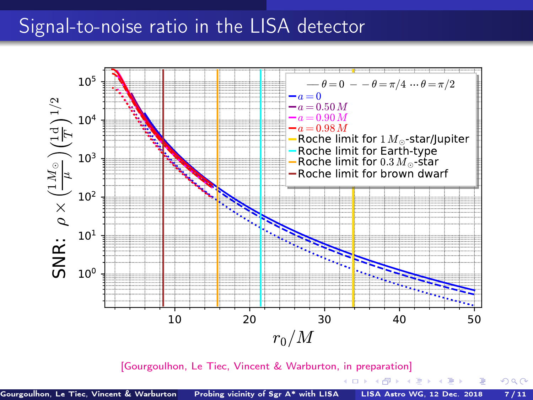

[\[Gourgoulhon, Le Tiec, Vincent & Warburton, in preparation\]](#page-0-1)

4 **D** F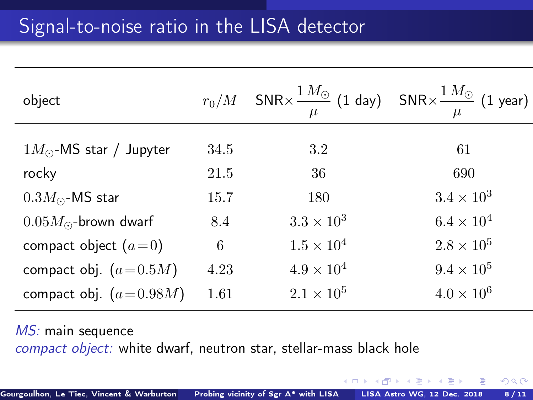| object                          |      | $r_0/M$ SNR $\times \frac{1 M_{\odot}}{n}$ (1 day) SNR $\times \frac{1 M_{\odot}}{n}$ (1 year) | $\mu$               |
|---------------------------------|------|------------------------------------------------------------------------------------------------|---------------------|
| $1M_{\odot}$ -MS star / Jupyter | 34.5 | 3.2                                                                                            | 61                  |
| rocky                           | 21.5 | 36                                                                                             | 690                 |
| $0.3M_{\odot}$ -MS star         | 15.7 | 180                                                                                            | $3.4 \times 10^3$   |
| $0.05M_{\odot}$ -brown dwarf    | 8.4  | $3.3 \times 10^3$                                                                              | $6.4 \times 10^{4}$ |
| compact object $(a=0)$          | 6    | $1.5 \times 10^{4}$                                                                            | $2.8 \times 10^5$   |
| compact obj. $(a=0.5M)$         | 4.23 | $4.9 \times 10^{4}$                                                                            | $9.4 \times 10^{5}$ |
| compact obj. $(a=0.98M)$        | 1.61 | $2.1 \times 10^{5}$                                                                            | $4.0 \times 10^{6}$ |
|                                 |      |                                                                                                |                     |

MS: main sequence compact object: white dwarf, neutron star, stellar-mass black hole

4 0 F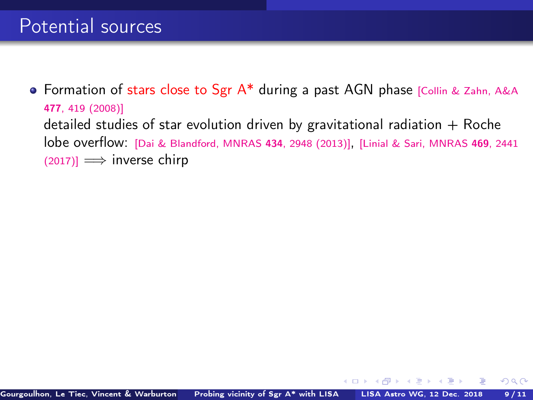**•** Formation of stars close to Sgr A\* during a past AGN phase [\[Collin & Zahn, A&A](https://doi.org/10.1051/0004-6361:20078191) 477[, 419 \(2008\)\]](https://doi.org/10.1051/0004-6361:20078191) detailed studies of star evolution driven by gravitational radiation  $+$  Roche lobe overflow: [\[Dai & Blandford, MNRAS](https://doi.org/10.1093/mnras/stt1209) <sup>434</sup>, 2948 (2013)], [\[Linial & Sari, MNRAS](https://doi.org/10.1093/mnras/stx1041) <sup>469</sup>, 2441  $(2017)$ ]  $\implies$  inverse chirp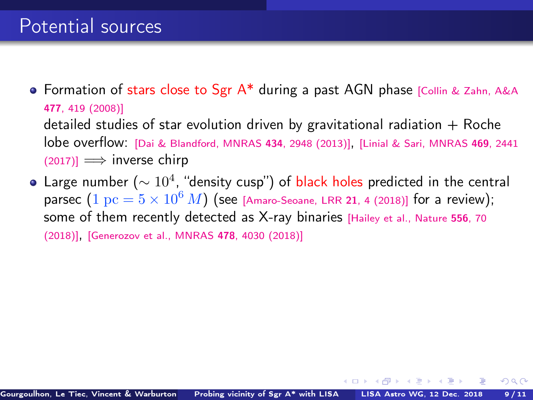- Formation of stars close to Sgr  $A^*$  during a past AGN phase [\[Collin & Zahn, A&A](https://doi.org/10.1051/0004-6361:20078191) 477[, 419 \(2008\)\]](https://doi.org/10.1051/0004-6361:20078191) detailed studies of star evolution driven by gravitational radiation  $+$  Roche lobe overflow: [\[Dai & Blandford, MNRAS](https://doi.org/10.1093/mnras/stt1209) <sup>434</sup>, 2948 (2013)], [\[Linial & Sari, MNRAS](https://doi.org/10.1093/mnras/stx1041) <sup>469</sup>, 2441  $(2017)$ ]  $\implies$  inverse chirp
- Large number ( $\sim 10^4$ , "density cusp") of black holes predicted in the central parsec  $(1 pc = 5 \times 10^6 M)$  (see [\[Amaro-Seoane, LRR](https://doi.org/10.1007/s41114-018-0013-8) 21, 4 (2018)] for a review); some of them recently detected as X-ray binaries [\[Hailey et al., Nature](#page-0-1) 556, 70 [\(2018\)\]](#page-0-1), [\[Generozov et al., MNRAS](https://doi.org/10.1093/mnras/sty1262) <sup>478</sup>, 4030 (2018)]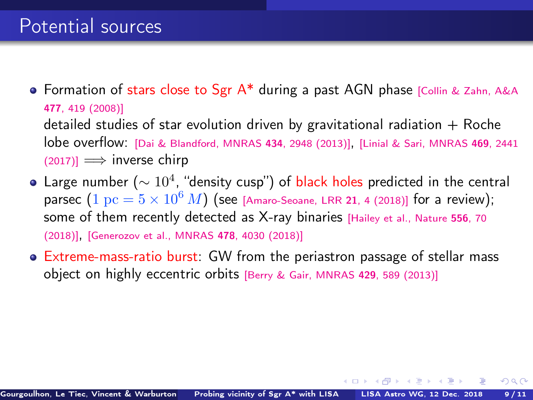- Formation of stars close to Sgr  $A^*$  during a past AGN phase [\[Collin & Zahn, A&A](https://doi.org/10.1051/0004-6361:20078191) 477[, 419 \(2008\)\]](https://doi.org/10.1051/0004-6361:20078191) detailed studies of star evolution driven by gravitational radiation  $+$  Roche lobe overflow: [\[Dai & Blandford, MNRAS](https://doi.org/10.1093/mnras/stt1209) <sup>434</sup>, 2948 (2013)], [\[Linial & Sari, MNRAS](https://doi.org/10.1093/mnras/stx1041) <sup>469</sup>, 2441  $(2017)$ ]  $\implies$  inverse chirp
- Large number ( $\sim 10^4$ , "density cusp") of black holes predicted in the central parsec  $(1 pc = 5 \times 10^6 M)$  (see [\[Amaro-Seoane, LRR](https://doi.org/10.1007/s41114-018-0013-8) 21, 4 (2018)] for a review); some of them recently detected as X-ray binaries [\[Hailey et al., Nature](#page-0-1) 556, 70 [\(2018\)\]](#page-0-1), [\[Generozov et al., MNRAS](https://doi.org/10.1093/mnras/sty1262) <sup>478</sup>, 4030 (2018)]
- Extreme-mass-ratio burst: GW from the periastron passage of stellar mass object on highly eccentric orbits [\[Berry & Gair, MNRAS](https://doi.org/10.1093/mnras/sts360) <sup>429</sup>, 589 (2013)]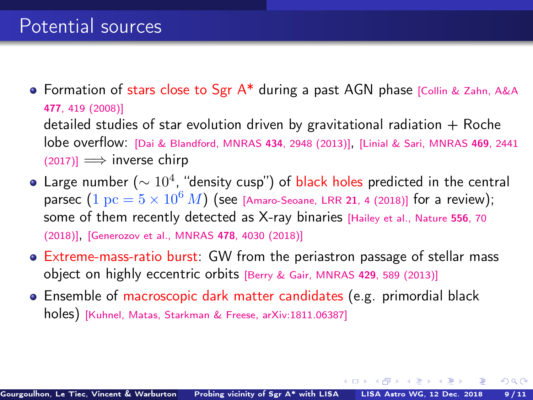- Formation of stars close to Sgr  $A^*$  during a past AGN phase [\[Collin & Zahn, A&A](https://doi.org/10.1051/0004-6361:20078191) 477[, 419 \(2008\)\]](https://doi.org/10.1051/0004-6361:20078191) detailed studies of star evolution driven by gravitational radiation  $+$  Roche lobe overflow: [\[Dai & Blandford, MNRAS](https://doi.org/10.1093/mnras/stt1209) <sup>434</sup>, 2948 (2013)], [\[Linial & Sari, MNRAS](https://doi.org/10.1093/mnras/stx1041) <sup>469</sup>, 2441  $(2017)$ ]  $\implies$  inverse chirp
- Large number ( $\sim 10^4$ , "density cusp") of black holes predicted in the central parsec  $(1 pc = 5 \times 10^6 M)$  (see [\[Amaro-Seoane, LRR](https://doi.org/10.1007/s41114-018-0013-8) 21, 4 (2018)] for a review); some of them recently detected as X-ray binaries [\[Hailey et al., Nature](#page-0-1) 556, 70 [\(2018\)\]](#page-0-1), [\[Generozov et al., MNRAS](https://doi.org/10.1093/mnras/sty1262) <sup>478</sup>, 4030 (2018)]
- Extreme-mass-ratio burst: GW from the periastron passage of stellar mass object on highly eccentric orbits [\[Berry & Gair, MNRAS](https://doi.org/10.1093/mnras/sts360) <sup>429</sup>, 589 (2013)]
- Ensemble of macroscopic dark matter candidates (e.g. primordial black holes) [\[Kuhnel, Matas, Starkman & Freese, arXiv:1811.06387\]](https://arxiv.org/abs/1811.06387)

イロト イ押ト イヨト イヨト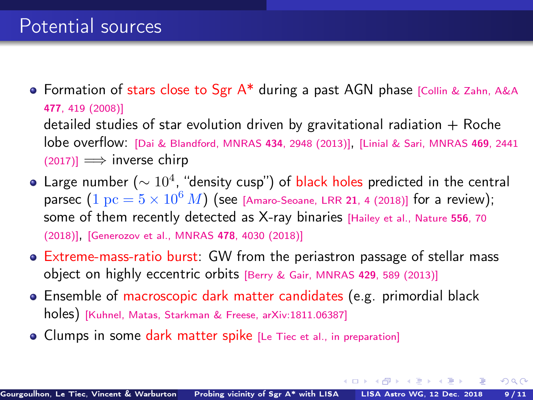- Formation of stars close to Sgr  $A^*$  during a past AGN phase [\[Collin & Zahn, A&A](https://doi.org/10.1051/0004-6361:20078191) 477[, 419 \(2008\)\]](https://doi.org/10.1051/0004-6361:20078191) detailed studies of star evolution driven by gravitational radiation  $+$  Roche lobe overflow: [\[Dai & Blandford, MNRAS](https://doi.org/10.1093/mnras/stt1209) <sup>434</sup>, 2948 (2013)], [\[Linial & Sari, MNRAS](https://doi.org/10.1093/mnras/stx1041) <sup>469</sup>, 2441  $(2017)$ ]  $\implies$  inverse chirp
- Large number ( $\sim 10^4$ , "density cusp") of black holes predicted in the central parsec  $(1 pc = 5 \times 10^6 M)$  (see [\[Amaro-Seoane, LRR](https://doi.org/10.1007/s41114-018-0013-8) 21, 4 (2018)] for a review); some of them recently detected as X-ray binaries [\[Hailey et al., Nature](#page-0-1) 556, 70 [\(2018\)\]](#page-0-1), [\[Generozov et al., MNRAS](https://doi.org/10.1093/mnras/sty1262) <sup>478</sup>, 4030 (2018)]
- Extreme-mass-ratio burst: GW from the periastron passage of stellar mass object on highly eccentric orbits [\[Berry & Gair, MNRAS](https://doi.org/10.1093/mnras/sts360) <sup>429</sup>, 589 (2013)]
- **Ensemble of macroscopic dark matter candidates (e.g. primordial black** holes) [\[Kuhnel, Matas, Starkman & Freese, arXiv:1811.06387\]](https://arxiv.org/abs/1811.06387)
- Clumps in some dark matter spike [\[Le Tiec et al., in preparation\]](#page-0-1)

イロト イ押 トイヨ トイヨト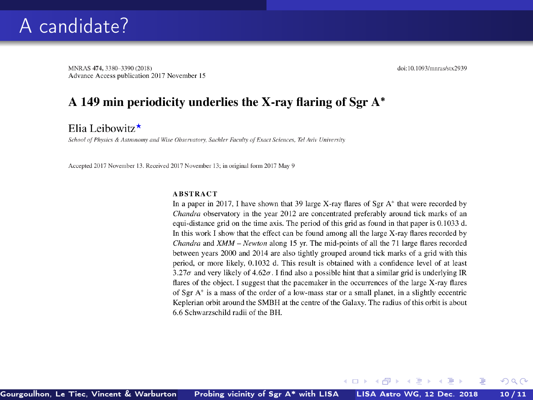MNRAS 474, 3380-3390 (2018) Advance Access publication 2017 November 15 doi:10.1093/mnras/stx2939

 $\Omega$ 

### A 149 min periodicity underlies the X-ray flaring of Sgr A\*

Elia Leibowitz $\star$ 

School of Physics & Astronomy and Wise Observatory, Sachler Faculty of Exact Sciences, Tel Aviv University

Accepted 2017 November 13. Received 2017 November 13; in original form 2017 May 9

#### **ABSTRACT**

In a paper in 2017, I have shown that 39 large X-ray flares of Sgr  $A^*$  that were recorded by Chandra observatory in the year 2012 are concentrated preferably around tick marks of an equi-distance grid on the time axis. The period of this grid as found in that paper is 0.1033 d. In this work I show that the effect can be found among all the large X-ray flares recorded by Chandra and XMM - Newton along 15 yr. The mid-points of all the 71 large flares recorded between years 2000 and 2014 are also tightly grouped around tick marks of a grid with this period, or more likely, 0.1032 d. This result is obtained with a confidence level of at least 3.27 $\sigma$  and very likely of 4.62 $\sigma$ . I find also a possible hint that a similar grid is underlying IR flares of the object. I suggest that the pacemaker in the occurrences of the large X-ray flares of Sgr A\* is a mass of the order of a low-mass star or a small planet, in a slightly eccentric Keplerian orbit around the SMBH at the centre of the Galaxy. The radius of this orbit is about 6.6 Schwarzschild radii of the BH.

4 0 8 4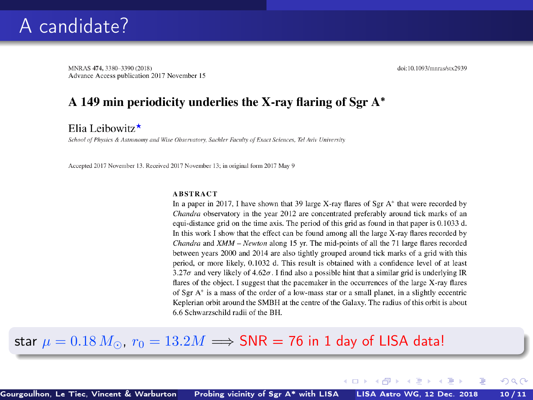MNRAS 474, 3380-3390 (2018) Advance Access publication 2017 November 15 doi:10.1093/mnras/stx2939

 $\Omega$ 

### A 149 min periodicity underlies the X-ray flaring of Sgr A\*

Elia Leibowitz $\star$ 

School of Physics & Astronomy and Wise Observatory, Sachler Faculty of Exact Sciences, Tel Aviv University

Accepted 2017 November 13. Received 2017 November 13; in original form 2017 May 9

#### **ABSTRACT**

In a paper in 2017, I have shown that 39 large X-ray flares of Sgr  $A^*$  that were recorded by Chandra observatory in the year 2012 are concentrated preferably around tick marks of an equi-distance grid on the time axis. The period of this grid as found in that paper is 0.1033 d. In this work I show that the effect can be found among all the large X-ray flares recorded by Chandra and XMM - Newton along 15 yr. The mid-points of all the 71 large flares recorded between years 2000 and 2014 are also tightly grouped around tick marks of a grid with this period, or more likely, 0.1032 d. This result is obtained with a confidence level of at least 3.27 $\sigma$  and very likely of 4.62 $\sigma$ . I find also a possible hint that a similar grid is underlying IR flares of the object. I suggest that the pacemaker in the occurrences of the large X-ray flares of Sgr  $A^*$  is a mass of the order of a low-mass star or a small planet, in a slightly eccentric Keplerian orbit around the SMBH at the centre of the Galaxy. The radius of this orbit is about 6.6 Schwarzschild radii of the BH.

4 0 3 4

### star  $\mu = 0.18 M_{\odot}$ ,  $r_0 = 13.2 M \Longrightarrow$  SNR = 76 in 1 day of LISA data!